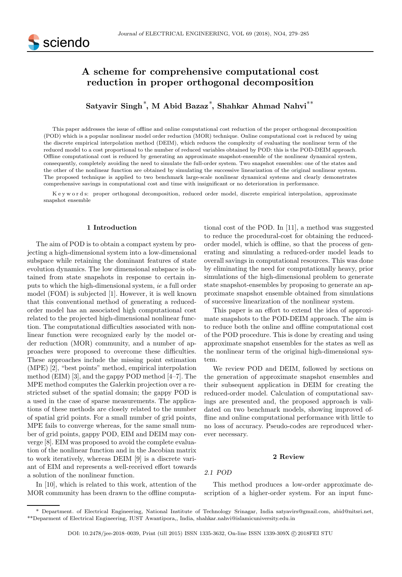

# A scheme for comprehensive computational cost reduction in proper orthogonal decomposition

Satyavir Singh<sup>\*</sup>, M Abid Bazaz<sup>\*</sup>, Shahkar Ahmad Nahvi<sup>\*\*</sup>

This paper addresses the issue of offline and online computational cost reduction of the proper orthogonal decomposition (POD) which is a popular nonlinear model order reduction (MOR) technique. Online computational cost is reduced by using the discrete empirical interpolation method (DEIM), which reduces the complexity of evaluating the nonlinear term of the reduced model to a cost proportional to the number of reduced variables obtained by POD: this is the POD-DEIM approach. Offline computational cost is reduced by generating an approximate snapshot-ensemble of the nonlinear dynamical system, consequently, completely avoiding the need to simulate the full-order system. Two snapshot ensembles: one of the states and the other of the nonlinear function are obtained by simulating the successive linearization of the original nonlinear system. The proposed technique is applied to two benchmark large-scale nonlinear dynamical systems and clearly demonstrates comprehensive savings in computational cost and time with insignificant or no deterioration in performance.

K e y w o r d s: proper orthogonal decomposition, reduced order model, discrete empirical interpolation, approximate snapshot ensemble

## 1 Introduction

The aim of POD is to obtain a compact system by projecting a high-dimensional system into a low-dimensional subspace while retaining the dominant features of state evolution dynamics. The low dimensional subspace is obtained from state snapshots in response to certain inputs to which the high-dimensional system, ie a full order model (FOM) is subjected [1]. However, it is well known that this conventional method of generating a reducedorder model has an associated high computational cost related to the projected high-dimensional nonlinear function. The computational difficulties associated with nonlinear function were recognized early by the model order reduction (MOR) community, and a number of approaches were proposed to overcome these difficulties. These approaches include the missing point estimation (MPE) [2], "best points" method, empirical interpolation method (EIM) [3], and the gappy POD method [4–7]. The MPE method computes the Galerkin projection over a restricted subset of the spatial domain; the gappy POD is a used in the case of sparse measurements. The applications of these methods are closely related to the number of spatial grid points. For a small number of grid points, MPE fails to converge whereas, for the same small number of grid points, gappy POD, EIM and DEIM may converge [8]. EIM was proposed to avoid the complete evaluation of the nonlinear function and in the Jacobian matrix to work iteratively, whereas DEIM [9] is a discrete variant of EIM and represents a well-received effort towards a solution of the nonlinear function.

In [10], which is related to this work, attention of the MOR community has been drawn to the offline computational cost of the POD. In [11], a method was suggested to reduce the procedural-cost for obtaining the reducedorder model, which is offline, so that the process of generating and simulating a reduced-order model leads to overall savings in computational resources. This was done by eliminating the need for computationally heavy, prior simulations of the high-dimensional problem to generate state snapshot-ensembles by proposing to generate an approximate snapshot ensemble obtained from simulations of successive linearization of the nonlinear system.

This paper is an effort to extend the idea of approximate snapshots to the POD-DEIM approach. The aim is to reduce both the online and offline computational cost of the POD procedure. This is done by creating and using approximate snapshot ensembles for the states as well as the nonlinear term of the original high-dimensional system.

We review POD and DEIM, followed by sections on the generation of approximate snapshot ensembles and their subsequent application in DEIM for creating the reduced-order model. Calculation of computational savings are presented and, the proposed approach is validated on two benchmark models, showing improved offline and online computational performance with little to no loss of accuracy. Pseudo-codes are reproduced wherever necessary.

#### 2 Review

## 2.1 POD

This method produces a low-order approximate description of a higher-order system. For an input func-

<sup>\*</sup> Department. of Electrical Engineering, National Institute of Technology Srinagar, India satyavirs@gmail.com, abid@nitsri.net, \*\*Deparment of Electrical Engineering, IUST Awantipora,, India, shahkar.nahvi@islamicuniversity.edu.in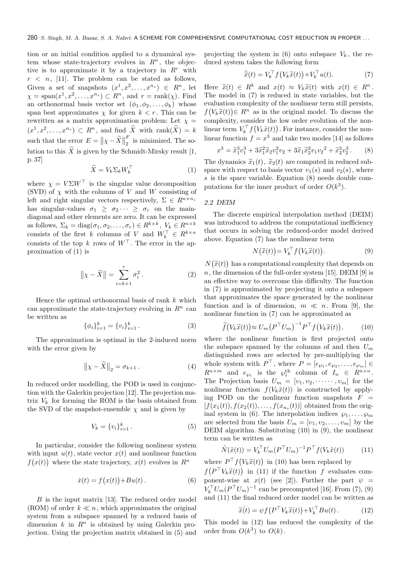tion or an initial condition applied to a dynamical system whose state-trajectory evolves in  $R<sup>n</sup>$ , the objective is to approximate it by a trajectory in  $R^r$  with  $r \leq n$ , [11]. The problem can be stated as follows, Given a set of snapshots  $(x^1, x^2, \ldots, x^{n_s}) \in R^n$ , let  $\chi = \text{span}(x^1, x^2, \dots, x^{n_s}) \subset R^n$ , and  $r = \text{rank}(\chi)$ . Find an orthonormal basis vector set  $(\phi_1, \phi_2, \ldots, \phi_k)$  whose span best approximates  $\chi$  for given  $k < r$ . This can be rewritten as a matrix approximation problem: Let  $\chi$  =  $(x^1, x^2, \ldots, x^{n_s}) \subset R^n$ , and find  $\widetilde{X}$  with rank $(\widetilde{X}) = k$ such that the error  $E = ||\chi - \widetilde{X}||_2^F$  $\frac{1}{2}$  is minimized. The solution to this  $\overline{X}$  is given by the Schmidt-Mirsky result [1, p. 37]

$$
\widetilde{X} = V_k \Sigma_k W_k^\top \tag{1}
$$

where  $\chi = V \Sigma W^{\top}$  is the singular value decomposition (SVD) of  $\chi$  with the columns of V and W consisting of left and right singular vectors respectively,  $\Sigma \in R^{n \times n_s}$ has singular-values  $\sigma_1 \geq \sigma_2 \cdots \geq \sigma_r$  on the maindiagonal and other elements are zero. It can be expressed as follows,  $\Sigma_k = \text{diag}(\sigma_1, \sigma_2, \dots, \sigma_r) \in R^{k \times k}, V_k \in R^{n \times k}$ consists of the first k columns of V and  $W_k^{\top} \in R^{k \times n}$ consists of the top k rows of  $W^{\top}$ . The error in the approximation of (1) is

$$
\|\chi - \widetilde{X}\| = \sum_{i=k+1}^{r} \sigma_i^2.
$$
 (2)

Hence the optimal orthonormal basis of rank  $k$  which can approximate the state-trajectory evolving in  $\mathbb{R}^n$  can be written as

$$
\{\phi_i\}_{i=1}^k = \{v_i\}_{i=1}^k.
$$
 (3)

The approximation is optimal in the 2-induced norm with the error given by

$$
\left\| \chi - \widetilde{X} \right\|_2 = \sigma_{k+1} . \tag{4}
$$

In reduced order modelling, the POD is used in conjunction with the Galerkin projection [12]. The projection matrix  $V_k$  for forming the ROM is the basis obtained from the SVD of the snapshot-ensemble  $\chi$  and is given by

$$
V_k = \{v_i\}_{i=1}^k.
$$
\n(5)

In particular, consider the following nonlinear system with input  $u(t)$ , state vector  $x(t)$  and nonlinear function  $f(x(t))$  where the state trajectory,  $x(t)$  evolves in  $R^n$ 

$$
\dot{x}(t) = f(x(t)) + Bu(t).
$$
 (6)

 $B$  is the input matrix [13]. The reduced order model (ROM) of order  $k \ll n$ , which approximates the original system from a subspace spanned by a reduced basis of dimension k in  $R^n$  is obtained by using Galerkin projection. Using the projection matrix obtained in (5) and

projecting the system in (6) onto subspace  $V_k$ , the reduced system takes the following form

$$
\dot{\tilde{x}}(t) = V_k^{\top} f(V_k \tilde{x}(t)) + V_k^{\top} u(t).
$$
\n(7)

Here  $\tilde{x}(t) \in R^k$  and  $x(t) \approx V_k \tilde{x}(t)$  with  $x(t) \in R^n$ . The model in (7) is reduced in state variables, but the evaluation complexity of the nonlinear term still persists,  $f(V_k\tilde{x}(t)) \in R^n$  as in the original model. To discuss the complexity, consider the low order evolution of the nonlinear term  $V_k^{\top} f(V_k \tilde{x}(t))$ . For instance, consider the nonlinear function  $f = x^3$  and take two modes [14] as follows

$$
x^3 = \tilde{x}_1^3 v_1^3 + 3\tilde{x}_1^2 \tilde{x}_2 v_1^2 v_2 + 3\tilde{x}_1 \tilde{x}_2^2 v_1 v_2^2 + \tilde{x}_2^3 v_2^3.
$$
 (8)

The dynamics  $\tilde{x}_1(t)$ ,  $\tilde{x}_2(t)$  are computed in reduced subspace with respect to basis vector  $v_1(s)$  and  $v_2(s)$ , where s is the space variable. Equation (8) needs double computations for the inner product of order  $O(k^3)$ .

## 2.2 DEIM

The discrete empirical interpolation method (DEIM) was introduced to address the computational inefficiency that occurs in solving the reduced-order model derived above. Equation (7) has the nonlinear term

$$
N\big(\widetilde{x}(t)\big) = V_k^{\top} f\big(V_k \widetilde{x}(t)\big). \tag{9}
$$

 $N(\tilde{x}(t))$  has a computational complexity that depends on  $n$ , the dimension of the full-order system [15]. DEIM [9] is an effective way to overcome this difficulty. The function in (7) is approximated by projecting it onto a subspace that approximates the space generated by the nonlinear function and is of dimension,  $m \ll n$ . From [9], the nonlinear function in (7) can be approximated as

$$
\widetilde{f}(V_k \widetilde{x}(t)) \approx U_m \left( P^\top U_m \right)^{-1} P^\top f(V_k \widetilde{x}(t)),\tag{10}
$$

where the nonlinear function is first projected onto the subspace spanned by the columns of and then  $U_m$ distinguished rows are selected by pre-multiplying the whole system with  $P^{\top}$ , where  $P = [e_{\wp_1}, e_{\wp_2}, \dots, e_{\wp_m}] \in$  $R^{n \times m}$  and  $e_{\wp_i}$  is the  $\wp_i^{\text{th}}$  column of  $I_n \in R^{n \times n}$ . The Projection basis  $U_m = [v_1, v_2, \cdots, v_m]$  for the nonlinear function  $f(V_k\tilde{x}(t))$  is constructed by applying POD on the nonlinear function snapshots  $F =$  $[f(x_1(t)), f(x_2(t)), \ldots, f(x_{n_s}(t))]$  obtained from the original system in (6). The interpolation indices  $\wp_1, \ldots, \wp_m$ are selected from the basis  $U_m = [v_1, v_2, \dots, v_m]$  by the DEIM algorithm. Substituting (10) in (9), the nonlinear term can be written as

$$
\tilde{N}(\tilde{x}(t)) = V_k^\top U_m (P^\top U_m)^{-1} P^\top f(V_k \tilde{x}(t)) \tag{11}
$$

where  $P^{\top} f(V_k \tilde{x}(t))$  in (10) has been replaced by  $f(P^{\top}V_k\widetilde{x}(t))$  in (11) if the function f evaluates component-wise at  $x(t)$  (see [2]). Further the part  $\psi =$  $V_k^{\top} U_m (P^{\top} U_m)^{-1}$  can be precomputed [16]. From (7), (9)

and (11) the final reduced order model can be written as  
\n
$$
\widetilde{x}(t) = \psi f(P^{\top} V_k \widetilde{x}(t)) + V_k^{\top} B u(t).
$$
\n(12)

This model in (12) has reduced the complexity of the order from  $O(k^3)$  to  $O(k)$ .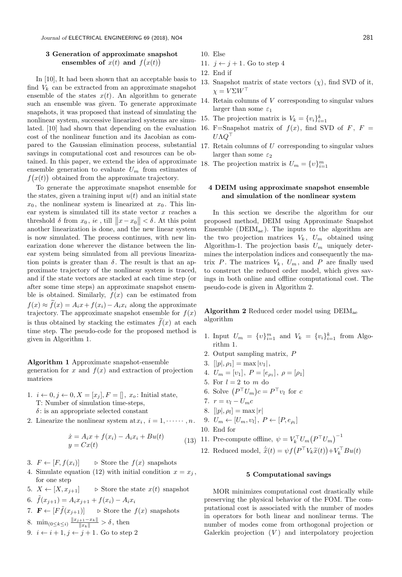## 3 Generation of approximate snapshot ensembles of  $\overline{x}(t)$  and  $f(x(t))$

In [10], It had been shown that an acceptable basis to find  $V_k$  can be extracted from an approximate snapshot ensemble of the states  $x(t)$ . An algorithm to generate such an ensemble was given. To generate approximate snapshots, it was proposed that instead of simulating the nonlinear system, successive linearized systems are simulated. [10] had shown that depending on the evaluation cost of the nonlinear function and its Jacobian as compared to the Gaussian elimination process, substantial savings in computational cost and resources can be obtained. In this paper, we extend the idea of approximate ensemble generation to evaluate  $U_m$  from estimates of  $f(x(t))$  obtained from the approximate trajectory.

To generate the approximate snapshot ensemble for the states, given a training input  $u(t)$  and an initial state  $x_0$ , the nonlinear system is linearized at  $x_0$ . This linear system is simulated till its state vector  $x$  reaches a threshold  $\delta$  from  $x_0$ , ie, till  $||x-x_0|| < \delta$ . At this point another linearization is done, and the new linear system is now simulated. The process continues, with new linearization done wherever the distance between the linear system being simulated from all previous linearization points is greater than  $\delta$ . The result is that an approximate trajectory of the nonlinear system is traced, and if the state vectors are stacked at each time step (or after some time steps) an approximate snapshot ensemble is obtained. Similarly,  $f(x)$  can be estimated from  $f(x) \approx \tilde{f}(x) = A_i x + f(x_i) - A_i x_i$  along the approximate trajectory. The approximate snapshot ensemble for  $f(x)$ is thus obtained by stacking the estimates  $\tilde{f}(x)$  at each time step. The pseudo-code for the proposed method is given in Algorithm 1.

## Algorithm 1 Approximate snapshot-ensemble

generation for x and  $f(x)$  and extraction of projection matrices

- 1.  $i \leftarrow 0, j \leftarrow 0, X = [x_j], F = []$ ,  $x_o$ : Initial state, T: Number of simulation time-steps,  $\delta$ : is an appropriate selected constant
- 2. Linearize the nonlinear system at  $x_i$ ,  $i = 1, \dots, n$ .

$$
\begin{aligned} \dot{x} &= A_i x + f(x_i) - A_i x_i + B u(t) \\ y &= C x(t) \end{aligned} \tag{13}
$$

- 3.  $F \leftarrow [F, f(x_i)] \Rightarrow$  Store the  $f(x)$  snapshots
- 4. Simulate equation (12) with initial condition  $x = x<sub>i</sub>$ , for one step
- 5.  $X \leftarrow [X, x_{i+1}]$  > Store the state  $x(t)$  snapshot
- 6.  $\tilde{f}(x_{i+1}) = A_i x_{i+1} + f(x_i) A_i x_i$
- 7.  $\mathbf{F} \leftarrow [F\tilde{f}(x_{i+1})] \Rightarrow$  Store the  $f(x)$  snapshots
- 8.  $\min_{0 \le k \le i} \frac{\|x_{j+1} x_k\|}{\|x_k\|} > \delta$ , then
- 9.  $i \leftarrow i + 1, j \leftarrow j + 1$ . Go to step 2
- 10. Else
- 11.  $j \leftarrow j + 1$ . Go to step 4
- 12. End if
- 13. Snapshot matrix of state vectors  $(\chi)$ , find SVD of it,  $\chi = V \Sigma W^{\top}$
- 14. Retain columns of V corresponding to singular values larger than some  $\varepsilon_1$
- 15. The projection matrix is  $V_k = \{v_i\}_{i=1}^k$
- 16. F=Snapshot matrix of  $f(x)$ , find SVD of F, F =  $U\Lambda Q^{\top}$
- 17. Retain columns of  $U$  corresponding to singular values larger than some  $\varepsilon_2$
- 18. The projection matrix is  $U_m = \{v\}_{i=1}^m$

## 4 DEIM using approximate snapshot ensemble and simulation of the nonlinear system

In this section we describe the algorithm for our proposed method, DEIM using Approximate Snapshot Ensemble ( $DEIM<sub>ae</sub>$ ). The inputs to the algorithm are the two projection matrices  $V_k$ ,  $U_m$  obtained using Algorithm-1. The projection basis  $U_m$  uniquely determines the interpolation indices and consequently the matrix  $P$ . The matrices  $V_k$ ,  $U_m$ , and  $P$  are finally used to construct the reduced order model, which gives savings in both online and offline computational cost. The pseudo-code is given in Algorithm 2.

Algorithm 2 Reduced order model using DEIMae algorithm

- 1. Input  $U_m = \{v\}_{i=1}^m$  and  $V_k = \{v_i\}_{i=1}^k$  from Algorithm 1.
- 2. Output sampling matrix, P
- 3.  $[|p|, \rho_1] = \max |v_1|$ ,
- 4.  $U_m = [v_1], P = [e_{\rho_1}], \rho = [\rho_1]$
- 5. For  $l = 2$  to m do
- 6. Solve  $(P^{\top}U_m)c = P^{\top}v_l$  for c
- 7.  $r = v_l U_m c$
- 8.  $[|p|, \rho_l] = \max |r|$

9. 
$$
U_m \leftarrow [U_m, v_l], P \leftarrow [P, e_{\rho_l}]
$$

- 10. End for
- 11. Pre-compute offline,  $\psi = V_k^{\top} U_m (P^{\top} U_m)^{-1}$
- 12. Reduced model,  $\dot{\tilde{x}}(t) = \psi f(P^{\top} V_k \tilde{x}(t)) + V_k^{\top} B u(t)$

## 5 Computational savings

MOR minimizes computational cost drastically while preserving the physical behavior of the FOM. The computational cost is associated with the number of modes in operators for both linear and nonlinear terms. The number of modes come from orthogonal projection or Galerkin projection  $(V)$  and interpolatory projection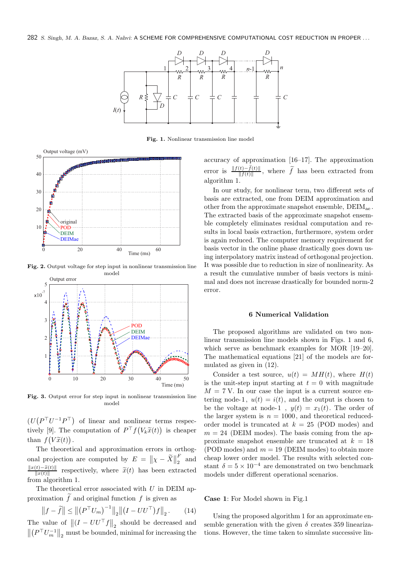282 S. Singh, M. A. Bazaz, S. A. Nahvi: A SCHEME FOR COMPREHENSIVE COMPUTATIONAL COST REDUCTION IN PROPER ...



Fig. 1. Nonlinear transmission line model



Fig. 2. Output voltage for step input in nonlinear transmission line model



Fig. 3. Output error for step input in nonlinear transmission line model

 $(U(P<sup>T</sup>U<sup>-1</sup>P<sup>T</sup>)$  of linear and nonlinear terms respectively [9]. The computation of  $P^{\top} f(V_k \tilde{x}(t))$  is cheaper than  $f(V\tilde{x}(t))$ .

The theoretical and approximation errors in orthogonal projection are computed by  $E = ||\chi - \widetilde{X}||_2^F$  $\frac{1}{2}$  and  $\frac{\|x(t)-\tilde{x}(t)\|}{\|x(t)\|}$  respectively, where  $\tilde{x}(t)$  has been extracted from algorithm 1.

The theoretical error associated with  $U$  in DEIM approximation  $\tilde{f}$  and original function f is given as

$$
||f - \tilde{f}|| \le ||(P^{\top}U_m)^{-1}||_2 ||(I - U U^{\top})f||_2.
$$
 (14)

The value of  $||(I - U U^{\top} f||_2$  should be decreased and  $\left\|\left(P^{\top}U_m^{-1}\right\|_2\right\|_2$  must be bounded, minimal for increasing the accuracy of approximation [16–17]. The approximation error is  $\frac{\|f(t)-f(t)\|}{\|f(t)\|}$ , where  $\widetilde{f}$  has been extracted from  $||f(t)||$ algorithm 1.

In our study, for nonlinear term, two different sets of basis are extracted, one from DEIM approximation and other from the approximate snapshot ensemble,  $DEIM_{ac}$ . The extracted basis of the approximate snapshot ensemble completely eliminates residual computation and results in local basis extraction, furthermore, system order is again reduced. The computer memory requirement for basis vector in the online phase drastically goes down using interpolatory matrix instead of orthogonal projection. It was possible due to reduction in size of nonlinearity. As a result the cumulative number of basis vectors is minimal and does not increase drastically for bounded norm-2 error.

## 6 Numerical Validation

The proposed algorithms are validated on two nonlinear transmission line models shown in Figs. 1 and 6, which serve as benchmark examples for MOR [19–20]. The mathematical equations [21] of the models are formulated as given in (12).

Consider a test source,  $u(t) = MH(t)$ , where  $H(t)$ is the unit-step input starting at  $t = 0$  with magnitude  $M = 7$  V. In our case the input is a current source entering node-1,  $u(t) = i(t)$ , and the output is chosen to be the voltage at node-1,  $y(t) = x_1(t)$ . The order of the larger system is  $n = 1000$ , and theoretical reducedorder model is truncated at  $k = 25$  (POD modes) and  $m = 24$  (DEIM modes). The basis coming from the approximate snapshot ensemble are truncated at  $k = 18$ (POD modes) and  $m = 19$  (DEIM modes) to obtain more cheap lower order model. The results with selected constant  $\delta = 5 \times 10^{-4}$  are demonstrated on two benchmark models under different operational scenarios.

Case 1: For Model shown in Fig.1

Using the proposed algorithm 1 for an approximate ensemble generation with the given  $\delta$  creates 359 linearizations. However, the time taken to simulate successive lin-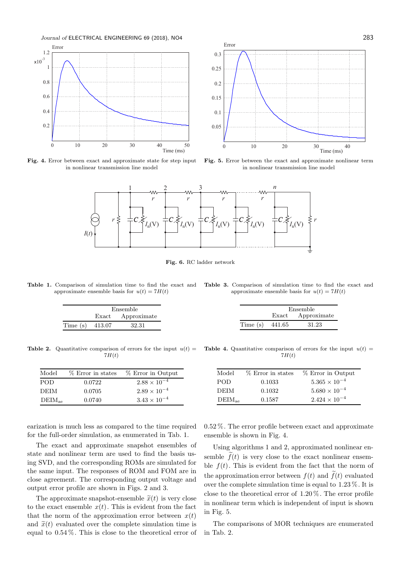

Fig. 4. Error between exact and approximate state for step input in nonlinear transmission line model



Fig. 5. Error between the exact and approximate nonlinear term in nonlinear transmission line model



Fig. 6. RC ladder network

Table 1. Comparison of simulation time to find the exact and approximate ensemble basis for  $u(t) = 7H(t)$ 

|  | <b>Table 3.</b> Comparison of simulation time to find the exact and |  |  |  |  |  |
|--|---------------------------------------------------------------------|--|--|--|--|--|
|  | approximate ensemble basis for $u(t) = 7H(t)$                       |  |  |  |  |  |

| Ensemble          |  |                   |                   | Ensemble          |
|-------------------|--|-------------------|-------------------|-------------------|
|                   |  | Exact Approximate |                   | Exact Approximate |
| Time $(s)$ 413.07 |  | 32.31             | Time (s) $441.65$ | 31.23             |

 $7H(t)$ 

| Model       | % Error in states | % Error in Output     |
|-------------|-------------------|-----------------------|
| POD         | 0.0722            | $2.88 \times 10^{-4}$ |
| DEIM        | 0.0705            | $2.89 \times 10^{-4}$ |
| $DEIM_{ae}$ | 0.0740            | $3.43 \times 10^{-4}$ |

**Table 2.** Quantitative comparison of errors for the input  $u(t) =$  **Table 4.** Quantitative comparison of errors for the input  $u(t) =$  $7H(t)$ 

| % Error in states | % Error in Output      |
|-------------------|------------------------|
| 0.1033            | $5.365 \times 10^{-4}$ |
| 0.1032            | $5.680 \times 10^{-4}$ |
| 0.1587            | $2.424 \times 10^{-4}$ |
|                   |                        |

earization is much less as compared to the time required for the full-order simulation, as enumerated in Tab. 1.

The exact and approximate snapshot ensembles of state and nonlinear term are used to find the basis using SVD, and the corresponding ROMs are simulated for the same input. The responses of ROM and FOM are in close agreement. The corresponding output voltage and output error profile are shown in Figs. 2 and 3.

The approximate snapshot-ensemble  $\tilde{x}(t)$  is very close to the exact ensemble  $x(t)$ . This is evident from the fact that the norm of the approximation error between  $x(t)$ and  $\tilde{x}(t)$  evaluated over the complete simulation time is equal to 0.54 %. This is close to the theoretical error of 0.52 %. The error profile between exact and approximate ensemble is shown in Fig. 4.

Using algorithms 1 and 2, approximated nonlinear ensemble  $\tilde{f}(t)$  is very close to the exact nonlinear ensemble  $f(t)$ . This is evident from the fact that the norm of the approximation error between  $f(t)$  and  $\tilde{f}(t)$  evaluated over the complete simulation time is equal to 1.23 %. It is close to the theoretical error of 1.20 %. The error profile in nonlinear term which is independent of input is shown in Fig. 5.

The comparisons of MOR techniques are enumerated in Tab. 2.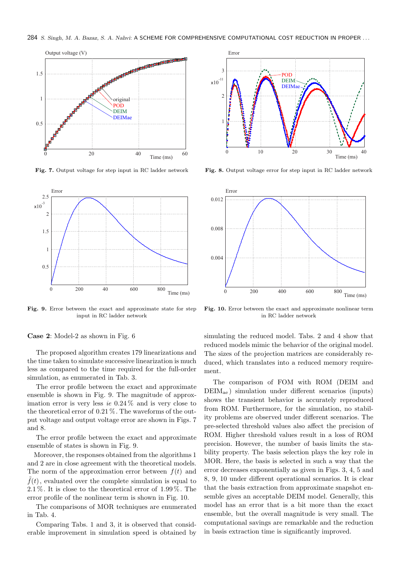284 S. Singh, M. A. Bazaz, S. A. Nahvi: A SCHEME FOR COMPREHENSIVE COMPUTATIONAL COST REDUCTION IN PROPER ...



Fig. 7. Output voltage for step input in RC ladder network



Fig. 9. Error between the exact and approximate state for step input in RC ladder network

Case 2: Model-2 as shown in Fig. 6

The proposed algorithm creates 179 linearizations and the time taken to simulate successive linearization is much less as compared to the time required for the full-order simulation, as enumerated in Tab. 3.

The error profile between the exact and approximate ensemble is shown in Fig. 9. The magnitude of approximation error is very less ie  $0.24\%$  and is very close to the theoretical error of 0.21 %. The waveforms of the output voltage and output voltage error are shown in Figs. 7 and 8.

The error profile between the exact and approximate ensemble of states is shown in Fig. 9.

Moreover, the responses obtained from the algorithms 1 and 2 are in close agreement with the theoretical models. The norm of the approximation error between  $f(t)$  and  $\tilde{f}(t)$ , evaluated over the complete simulation is equal to 2.1 %. It is close to the theoretical error of 1.99 %. The error profile of the nonlinear term is shown in Fig. 10.

The comparisons of MOR techniques are enumerated in Tab. 4.

Comparing Tabs. 1 and 3, it is observed that considerable improvement in simulation speed is obtained by



Fig. 8. Output voltage error for step input in RC ladder network



Fig. 10. Error between the exact and approximate nonlinear term in RC ladder network

simulating the reduced model. Tabs. 2 and 4 show that reduced models mimic the behavior of the original model. The sizes of the projection matrices are considerably reduced, which translates into a reduced memory requirement.

The comparison of FOM with ROM (DEIM and  $DEIM<sub>ae</sub>$ ) simulation under different scenarios (inputs) shows the transient behavior is accurately reproduced from ROM. Furthermore, for the simulation, no stability problems are observed under different scenarios. The pre-selected threshold values also affect the precision of ROM. Higher threshold values result in a loss of ROM precision. However, the number of basis limits the stability property. The basis selection plays the key role in MOR. Here, the basis is selected in such a way that the error decreases exponentially as given in Figs. 3, 4, 5 and 8, 9, 10 under different operational scenarios. It is clear that the basis extraction from approximate snapshot ensemble gives an acceptable DEIM model. Generally, this model has an error that is a bit more than the exact ensemble, but the overall magnitude is very small. The computational savings are remarkable and the reduction in basis extraction time is significantly improved.